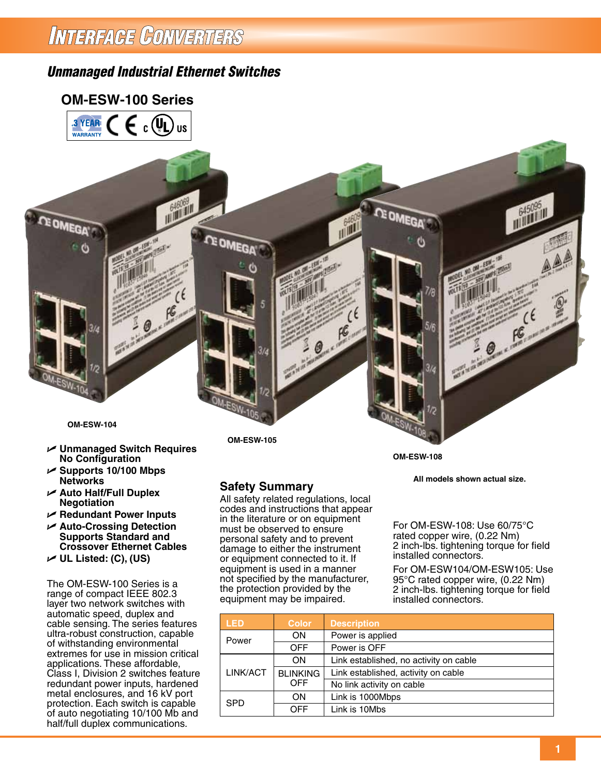# INTERFAGE CONVERTERS

# *Unmanaged Industrial Ethernet Switches*

### **OM-ESW-100 Series**





- U **Unmanaged Switch Requires No Configuration**
- U **Supports 10/100 Mbps Networks**
- U **Auto Half/Full Duplex Negotiation**
- U **Redundant Power Inputs**
- U **Auto-Crossing Detection Supports Standard and Crossover Ethernet Cables**
- U **UL Listed: (C), (US)**

The OM-ESW-100 Series is a range of compact IEEE 802.3 layer two network switches with automatic speed, duplex and cable sensing. The series features ultra-robust construction, capable of withstanding environmental extremes for use in mission critical applications. These affordable, Class I, Division 2 switches feature redundant power inputs, hardened metal enclosures, and 16 kV port protection. Each switch is capable of auto negotiating 10/100 Mb and half/full duplex communications.

**OM-ESW-105**

### **Safety Summary**

All safety related regulations, local codes and instructions that appear in the literature or on equipment must be observed to ensure personal safety and to prevent damage to either the instrument or equipment connected to it. If equipment is used in a manner not specified by the manufacturer, the protection provided by the equipment may be impaired.

**LED Color Description** Power ON Power is applied<br>OFF Power is OFF Power is OFF ON Link established, no activity on cable LINK/ACT BLINKING Link established, activity on cable<br>OFF No link activity on cable No link activity on cable SPD ON Link is 1000Mbps Link is 10Mbs

**OM-ESW-108**

**All models shown actual size.**

For OM-ESW-108: Use 60/75°C rated copper wire, (0.22 Nm) 2 inch-lbs. tightening torque for field installed connectors.

For OM-ESW104/OM-ESW105: Use 95°C rated copper wire, (0.22 Nm) 2 inch-lbs. tightening torque for field installed connectors.